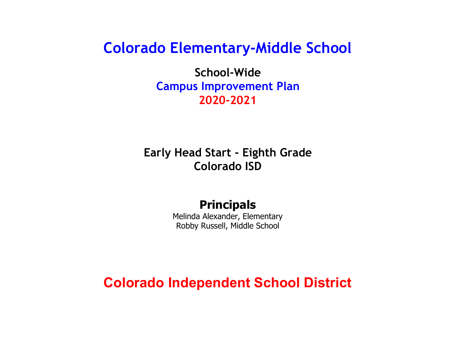# **Colorado Elementary-Middle School**

**School-Wide Campus Improvement Plan 2020-2021**

**Early Head Start - Eighth Grade Colorado ISD**

## **Principals**

Melinda Alexander, Elementary Robby Russell, Middle School

**Colorado Independent School District**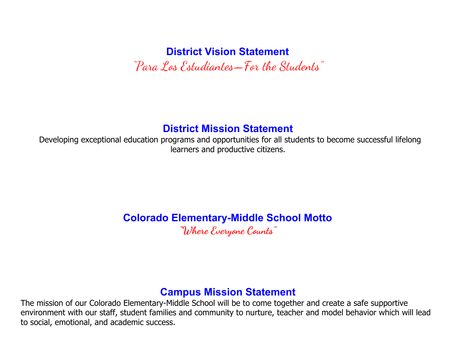# **District Vision Statement** "Para Los Estudiantes—For the Students"

### **District Mission Statement**

Developing exceptional education programs and opportunities for all students to become successful lifelong learners and productive citizens.

## **Colorado Elementary-Middle School Motto**

**"Where Everyone Counts"**

### **Campus Mission Statement**

The mission of our Colorado Elementary-Middle School will be to come together and create a safe supportive environment with our staff, student families and community to nurture, teacher and model behavior which will lead to social, emotional, and academic success.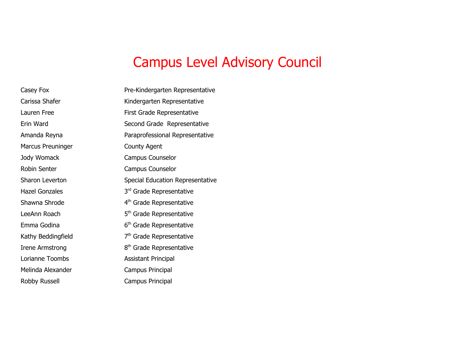# Campus Level Advisory Council

| Casey Fox                | Pre-Kindergarten Representative      |
|--------------------------|--------------------------------------|
| Carissa Shafer           | Kindergarten Representative          |
| Lauren Free              | First Grade Representative           |
| Erin Ward                | Second Grade Representative          |
| Amanda Reyna             | Paraprofessional Representative      |
| <b>Marcus Preuninger</b> | County Agent                         |
| Jody Womack              | Campus Counselor                     |
| Robin Senter             | Campus Counselor                     |
| Sharon Leverton          | Special Education Representative     |
| <b>Hazel Gonzales</b>    | 3rd Grade Representative             |
| Shawna Shrode            | 4 <sup>th</sup> Grade Representative |
| LeeAnn Roach             | 5 <sup>th</sup> Grade Representative |
| Emma Godina              | 6 <sup>th</sup> Grade Representative |
| Kathy Beddingfield       | 7 <sup>th</sup> Grade Representative |
| <b>Irene Armstrong</b>   | 8 <sup>th</sup> Grade Representative |
| Lorianne Toombs          | <b>Assistant Principal</b>           |
| Melinda Alexander        | Campus Principal                     |
| <b>Robby Russell</b>     | Campus Principal                     |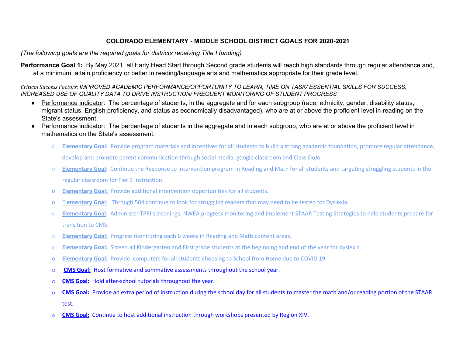#### **COLORADO ELEMENTARY - MIDDLE SCHOOL DISTRICT GOALS FOR 2020-2021**

*(The following goals are the required goals for districts receiving Title I funding)*

**Performance Goal 1:** By May 2021, all Early Head Start through Second grade students will reach high standards through regular attendance and, at a minimum, attain proficiency or better in reading/language arts and mathematics appropriate for their grade level.

Critical Success Factors: IMPROVED ACADEMIC PERFORMANCE/OPPORTUNITY TO LEARN, TIME ON TASK/ ESSENTIAL SKILLS FOR SUCCESS, *INCREASED USE OF QUALITY DATA TO DRIVE INSTRUCTION/ FREQUENT MONITORING OF STUDENT PROGRESS*

- Performance indicator: The percentage of students, in the aggregate and for each subgroup (race, ethnicity, gender, disability status, migrant status, English proficiency, and status as economically disadvantaged), who are at or above the proficient level in reading on the State's assessment,
- Performance indicator: The percentage of students in the aggregate and in each subgroup, who are at or above the proficient level in mathematics on the State's assessment.
	- o **Elementary Goal:** Provide program materials and incentives for all students to build a strong academic foundation, promote regular attendance, develop and promote parent communication through social media, google classroom and Class DoJo.
	- o **Elementary Goal**: Continue the Response to Intervention program in Reading and Math for all students and targeting struggling students in the regular classroom for Tier 3 instruction.
	- o **Elementary Goal:** Provide additional intervention opportunities for all students.
	- o El**ementary Goal**: Through 504 continue to look for struggling readers that may need to be tested for Dyslexia.
	- o **Elementary Goal**: Administer TPRI screenings, NWEA progress monitoring and implement STAAR Testing Strategies to help students prepare for transition to CMS.
	- o **Elementary Goal:** Progress monitoring each 6 weeks in Reading and Math content areas.
	- o **Elementary Goal:** Screen all Kindergarten and First grade students at the beginning and end of the year for dyslexia.
	- o **Elementary Goal:** Provide computers for all students choosing to School from Home due to COVID 19.
	- o **CMS Goal:** Host formative and summative assessments throughout the school year.
	- o **CMS Goal:** Hold after-school tutorials throughout the year.
	- o **CMS Goal:** Provide an extra period of instruction during the school day for all students to master the math and/or reading portion of the STAAR test.
	- o **CMS Goal:** Continue to host additional instruction through workshops presented by Region XIV.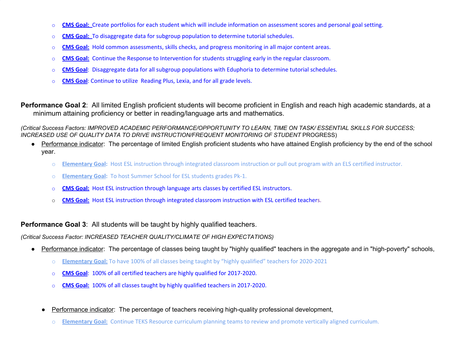- o **CMS Goal:** Create portfolios for each student which will include information on assessment scores and personal goal setting.
- o **CMS Goal:** To disaggregate data for subgroup population to determine tutorial schedules.
- o **CMS Goal:** Hold common assessments, skills checks, and progress monitoring in all major content areas.
- o **CMS Goal:** Continue the Response to Intervention for students struggling early in the regular classroom.
- o **CMS Goal**: Disaggregate data for all subgroup populations with Eduphoria to determine tutorial schedules.
- o **CMS Goal**: Continue to utilize Reading Plus, Lexia, and for all grade levels.

**Performance Goal 2**: All limited English proficient students will become proficient in English and reach high academic standards, at a minimum attaining proficiency or better in reading/language arts and mathematics.

(Critical Success Factors: IMPROVED ACADEMIC PERFORMANCE/OPPORTUNITY TO LEARN, TIME ON TASK/ ESSENTIAL SKILLS FOR SUCCESS; *INCREASED USE OF QUALITY DATA TO DRIVE INSTRUCTION/FREQUENT MONITORING OF STUDENT* PROGRESS)

- Performance indicator: The percentage of limited English proficient students who have attained English proficiency by the end of the school year.
	- o **Elementary Goal:** Host ESL instruction through integrated classroom instruction or pull out program with an ELS certified instructor.
	- o **Elementary Goal:** To host Summer School for ESL students grades Pk-1.
	- o **CMS Goal:** Host ESL instruction through language arts classes by certified ESL instructors.
	- o **CMS Goal:** Host ESL instruction through integrated classroom instruction with ESL certified teachers.

**Performance Goal 3:** All students will be taught by highly qualified teachers.

*(Critical Success Factor: INCREASED TEACHER QUALITY/CLIMATE OF HIGH EXPECTATIONS)*

- Performance indicator: The percentage of classes being taught by "highly qualified" teachers in the aggregate and in "high-poverty" schools,
	- o **Elementary Goal:** To have 100% of all classes being taught by "highly qualified" teachers for 2020-2021
	- o **CMS Goal**: 100% of all certified teachers are highly qualified for 2017-2020.
	- o **CMS Goal:** 100% of all classes taught by highly qualified teachers in 2017-2020.
	- Performance indicator: The percentage of teachers receiving high-quality professional development,
		- o **Elementary Goal:** Continue TEKS Resource curriculum planning teams to review and promote vertically aligned curriculum.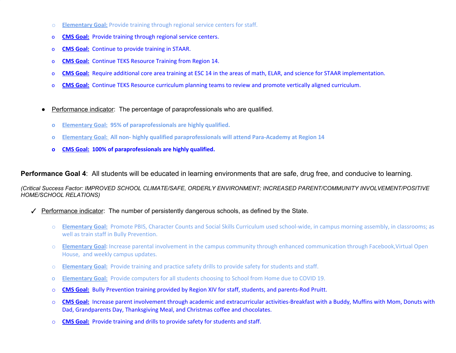- o **Elementary Goal:** Provide training through regional service centers for staff.
- o **CMS Goal:** Provide training through regional service centers.
- o **CMS Goal:** Continue to provide training in STAAR.
- o **CMS Goal:** Continue TEKS Resource Training from Region 14.
- o **CMS Goal:** Require additional core area training at ESC 14 in the areas of math, ELAR, and science for STAAR implementation.
- o **CMS Goal:** Continue TEKS Resource curriculum planning teams to review and promote vertically aligned curriculum.
- Performance indicator: The percentage of paraprofessionals who are qualified.
	- **o Elementary Goal: 95% of paraprofessionals are highly qualified.**
	- **o Elementary Goal: All non- highly qualified paraprofessionals will attend Para-Academy at Region 14**
	- **o CMS Goal: 100% of paraprofessionals are highly qualified.**

**Performance Goal 4**: All students will be educated in learning environments that are safe, drug free, and conducive to learning.

*(Critical Success Factor: IMPROVED SCHOOL CLIMATE/SAFE, ORDERLY ENVIRONMENT; INCREASED PARENT/COMMUNITY INVOLVEMENT/POSITIVE HOME/SCHOOL RELATIONS)*

- Performance indicator: The number of persistently dangerous schools, as defined by the State.
	- o **Elementary Goal:** Promote PBIS, Character Counts and Social Skills Curriculum used school-wide, in campus morning assembly, in classrooms; as well as train staff in Bully Prevention.
	- o **Elementary Goal:** Increase parental involvement in the campus community through enhanced communication through Facebook,Virtual Open House, and weekly campus updates.
	- o **Elementary Goal:** Provide training and practice safety drills to provide safety for students and staff.
	- o **Elementary Goal:** Provide computers for all students choosing to School from Home due to COVID 19.
	- o **CMS Goal:** Bully Prevention training provided by Region XIV for staff, students, and parents-Rod Pruitt.
	- o **CMS Goal:** Increase parent involvement through academic and extracurricular activities-Breakfast with a Buddy, Muffins with Mom, Donuts with Dad, Grandparents Day, Thanksgiving Meal, and Christmas coffee and chocolates.
	- o **CMS Goal:** Provide training and drills to provide safety for students and staff.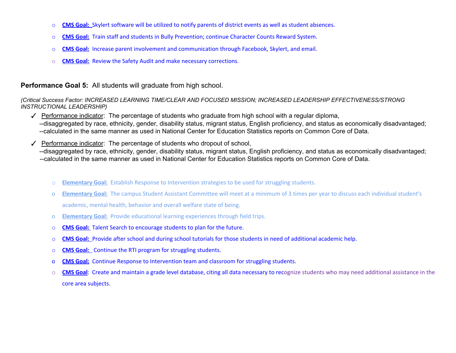- o **CMS Goal:** Skylert software will be utilized to notify parents of district events as well as student absences.
- o **CMS Goal:** Train staff and students in Bully Prevention; continue Character Counts Reward System.
- o **CMS Goal:** Increase parent involvement and communication through Facebook, Skylert, and email.
- o **CMS Goal:** Review the Safety Audit and make necessary corrections.

#### **Performance Goal 5:** All students will graduate from high school.

*(Critical Success Factor: INCREASED LEARNING TIME/CLEAR AND FOCUSED MISSION; INCREASED LEADERSHIP EFFECTIVENESS/STRONG INSTRUCTIONAL LEADERSHIP)*

- $\checkmark$  Performance indicator: The percentage of students who graduate from high school with a regular diploma, --disaggregated by race, ethnicity, gender, disability status, migrant status, English proficiency, and status as economically disadvantaged; --calculated in the same manner as used in National Center for Education Statistics reports on Common Core of Data.
- Performance indicator: The percentage of students who dropout of school,

--disaggregated by race, ethnicity, gender, disability status, migrant status, English proficiency, and status as economically disadvantaged; --calculated in the same manner as used in National Center for Education Statistics reports on Common Core of Data.

- o **Elementary Goal:** Establish Response to Intervention strategies to be used for struggling students.
- o **Elementary Goal:** The campus Student Assistant Committee will meet at a minimum of 3 times per year to discuss each individual student's
	- academic, mental health, behavior and overall welfare state of being.
- o **Elementary Goal:** Provide educational learning experiences through field trips.
- o **CMS Goal:** Talent Search to encourage students to plan for the future.
- o **CMS Goal:** Provide after school and during school tutorials for those students in need of additional academic help.
- o **CMS Goal:** Continue the RTI program for struggling students.
- o **CMS Goal:** Continue Response to Intervention team and classroom for struggling students.
- o **CMS Goal**: Create and maintain a grade level database, citing all data necessary to recognize students who may need additional assistance in the core area subjects.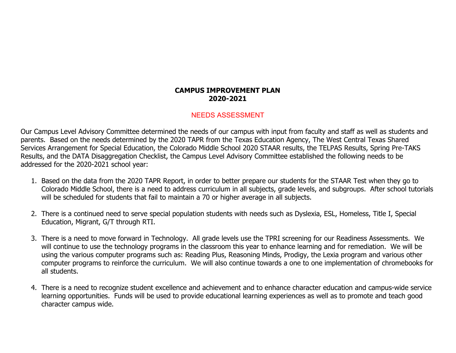#### **CAMPUS IMPROVEMENT PLAN 2020-2021**

#### NEEDS ASSESSMENT

Our Campus Level Advisory Committee determined the needs of our campus with input from faculty and staff as well as students and parents. Based on the needs determined by the 2020 TAPR from the Texas Education Agency, The West Central Texas Shared Services Arrangement for Special Education, the Colorado Middle School 2020 STAAR results, the TELPAS Results, Spring Pre-TAKS Results, and the DATA Disaggregation Checklist, the Campus Level Advisory Committee established the following needs to be addressed for the 2020-2021 school year:

- 1. Based on the data from the 2020 TAPR Report, in order to better prepare our students for the STAAR Test when they go to Colorado Middle School, there is a need to address curriculum in all subjects, grade levels, and subgroups. After school tutorials will be scheduled for students that fail to maintain a 70 or higher average in all subjects.
- 2. There is a continued need to serve special population students with needs such as Dyslexia, ESL, Homeless, Title I, Special Education, Migrant, G/T through RTI.
- 3. There is a need to move forward in Technology. All grade levels use the TPRI screening for our Readiness Assessments. We will continue to use the technology programs in the classroom this year to enhance learning and for remediation. We will be using the various computer programs such as: Reading Plus, Reasoning Minds, Prodigy, the Lexia program and various other computer programs to reinforce the curriculum. We will also continue towards a one to one implementation of chromebooks for all students.
- 4. There is a need to recognize student excellence and achievement and to enhance character education and campus-wide service learning opportunities. Funds will be used to provide educational learning experiences as well as to promote and teach good character campus wide.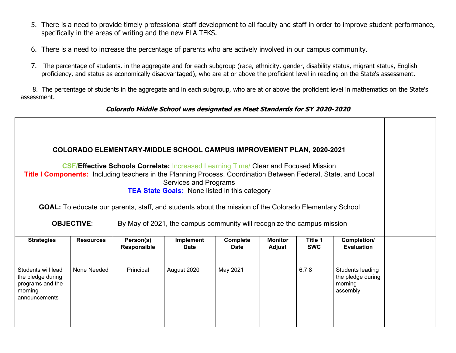- 5. There is a need to provide timely professional staff development to all faculty and staff in order to improve student performance, specifically in the areas of writing and the new ELA TEKS.
- 6. There is a need to increase the percentage of parents who are actively involved in our campus community.
- 7. The percentage of students, in the aggregate and for each subgroup (race, ethnicity, gender, disability status, migrant status, English proficiency, and status as economically disadvantaged), who are at or above the proficient level in reading on the State's assessment.

8. The percentage of students in the aggregate and in each subgroup, who are at or above the proficient level in mathematics on the State's assessment.

#### **Colorado Middle School was designated as Meet Standards for SY 2020-2020**

| COLORADO ELEMENTARY-MIDDLE SCHOOL CAMPUS IMPROVEMENT PLAN, 2020-2021                                                                                                                                                                                                                                                                                                                                                                                                                                         |                  |                                 |                          |                                |                          |                       |                                                              |  |  |  |  |
|--------------------------------------------------------------------------------------------------------------------------------------------------------------------------------------------------------------------------------------------------------------------------------------------------------------------------------------------------------------------------------------------------------------------------------------------------------------------------------------------------------------|------------------|---------------------------------|--------------------------|--------------------------------|--------------------------|-----------------------|--------------------------------------------------------------|--|--|--|--|
| <b>CSF/Effective Schools Correlate: Increased Learning Time/ Clear and Focused Mission</b><br>Title I Components: Including teachers in the Planning Process, Coordination Between Federal, State, and Local<br>Services and Programs<br><b>TEA State Goals:</b> None listed in this category<br><b>GOAL:</b> To educate our parents, staff, and students about the mission of the Colorado Elementary School<br><b>OBJECTIVE:</b><br>By May of 2021, the campus community will recognize the campus mission |                  |                                 |                          |                                |                          |                       |                                                              |  |  |  |  |
| <b>Strategies</b>                                                                                                                                                                                                                                                                                                                                                                                                                                                                                            | <b>Resources</b> | Person(s)<br><b>Responsible</b> | Implement<br><b>Date</b> | <b>Complete</b><br><b>Date</b> | <b>Monitor</b><br>Adjust | Title 1<br><b>SWC</b> | Completion/<br><b>Evaluation</b>                             |  |  |  |  |
| Students will lead<br>the pledge during<br>programs and the<br>morning<br>announcements                                                                                                                                                                                                                                                                                                                                                                                                                      | None Needed      | Principal                       | August 2020              | May 2021                       |                          | 6,7,8                 | Students leading<br>the pledge during<br>morning<br>assembly |  |  |  |  |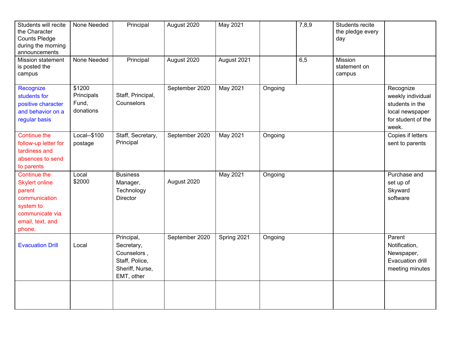| Students will recite<br>the Character<br><b>Counts Pledge</b><br>during the morning<br>announcements                           | None Needed                                | Principal                                                                                  | August 2020    | May 2021    |         | 7,8,9 | Students recite<br>the pledge every<br>day |                                                                                                     |
|--------------------------------------------------------------------------------------------------------------------------------|--------------------------------------------|--------------------------------------------------------------------------------------------|----------------|-------------|---------|-------|--------------------------------------------|-----------------------------------------------------------------------------------------------------|
| Mission statement<br>is posted the<br>campus                                                                                   | None Needed                                | Principal                                                                                  | August 2020    | August 2021 |         | 6,5   | Mission<br>statement on<br>campus          |                                                                                                     |
| Recognize<br>students for<br>positive character<br>and behavior on a<br>regular basis                                          | \$1200<br>Principals<br>Fund,<br>donations | Staff, Principal,<br>Counselors                                                            | September 2020 | May 2021    | Ongoing |       |                                            | Recognize<br>weekly individual<br>students in the<br>local newspaper<br>for student of the<br>week. |
| <b>Continue the</b><br>follow-up letter for<br>tardiness and<br>absences to send<br>to parents                                 | Local--\$100<br>postage                    | Staff, Secretary,<br>Principal                                                             | September 2020 | May 2021    | Ongoing |       |                                            | Copies if letters<br>sent to parents                                                                |
| Continue the<br><b>Skylert online</b><br>parent<br>communication<br>system to<br>communicate via<br>email, text, and<br>phone. | Local<br>\$2000                            | <b>Business</b><br>Manager,<br>Technology<br><b>Director</b>                               | August 2020    | May 2021    | Ongoing |       |                                            | Purchase and<br>set up of<br>Skyward<br>software                                                    |
| <b>Evacuation Drill</b>                                                                                                        | Local                                      | Principal,<br>Secretary,<br>Counselors,<br>Staff, Police,<br>Sheriff, Nurse,<br>EMT, other | September 2020 | Spring 2021 | Ongoing |       |                                            | Parent<br>Notification,<br>Newspaper,<br>Evacuation drill<br>meeting minutes                        |
|                                                                                                                                |                                            |                                                                                            |                |             |         |       |                                            |                                                                                                     |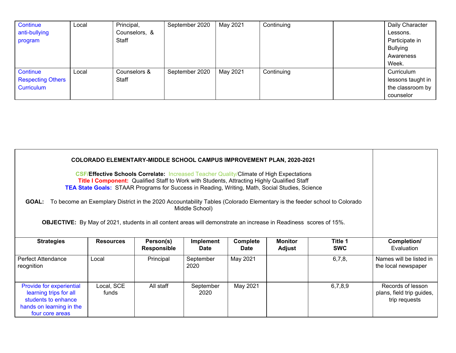| Continue                 | Local | Principal,    | September 2020 | May 2021 | Continuing | Daily Character   |
|--------------------------|-------|---------------|----------------|----------|------------|-------------------|
| anti-bullying            |       | Counselors, & |                |          |            | Lessons.          |
| program                  |       | Staff         |                |          |            | Participate in    |
|                          |       |               |                |          |            | <b>Bullying</b>   |
|                          |       |               |                |          |            | Awareness         |
|                          |       |               |                |          |            | Week.             |
| Continue                 | Local | Counselors &  | September 2020 | May 2021 | Continuing | Curriculum        |
| <b>Respecting Others</b> |       | Staff         |                |          |            | lessons taught in |
| <b>Curriculum</b>        |       |               |                |          |            | the classroom by  |
|                          |       |               |                |          |            | counselor         |

| <b>COLORADO ELEMENTARY-MIDDLE SCHOOL CAMPUS IMPROVEMENT PLAN, 2020-2021</b><br><b>CSF/Effective Schools Correlate:</b> Increased Teacher Quality/Climate of High Expectations<br>Title I Component: Qualified Staff to Work with Students, Attracting Highly Qualified Staff<br><b>TEA State Goals: STAAR Programs for Success in Reading, Writing, Math, Social Studies, Science</b><br>To become an Exemplary District in the 2020 Accountability Tables (Colorado Elementary is the feeder school to Colorado<br><b>GOAL:</b> |                                                                 |                                 |                                 |                                |                   |                       |                                                |  |  |
|----------------------------------------------------------------------------------------------------------------------------------------------------------------------------------------------------------------------------------------------------------------------------------------------------------------------------------------------------------------------------------------------------------------------------------------------------------------------------------------------------------------------------------|-----------------------------------------------------------------|---------------------------------|---------------------------------|--------------------------------|-------------------|-----------------------|------------------------------------------------|--|--|
| Middle School)<br><b>OBJECTIVE:</b> By May of 2021, students in all content areas will demonstrate an increase in Readiness scores of 15%.                                                                                                                                                                                                                                                                                                                                                                                       |                                                                 |                                 |                                 |                                |                   |                       |                                                |  |  |
| <b>Strategies</b>                                                                                                                                                                                                                                                                                                                                                                                                                                                                                                                | <b>Resources</b>                                                | Person(s)<br><b>Responsible</b> | <b>Implement</b><br><b>Date</b> | <b>Complete</b><br><b>Date</b> | Monitor<br>Adjust | Title 1<br><b>SWC</b> | Completion/<br>Evaluation                      |  |  |
| Perfect Attendance<br>reognition                                                                                                                                                                                                                                                                                                                                                                                                                                                                                                 | Local                                                           | Principal                       | September<br>2020               | May 2021                       |                   | 6,7,8,                | Names will be listed in<br>the local newspaper |  |  |
| Provide for experiential<br>learning trips for all<br>students to enhance<br>hands on learning in the<br>four core areas                                                                                                                                                                                                                                                                                                                                                                                                         | Records of lesson<br>plans, field trip guides,<br>trip requests |                                 |                                 |                                |                   |                       |                                                |  |  |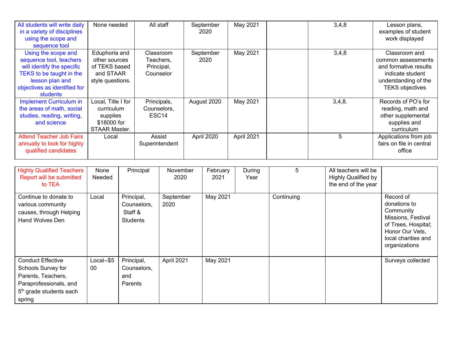| All students will write daily<br>in a variety of disciplines<br>using the scope and<br>sequence tool                                                                           | None needed                                                                         | All staff                                         | September<br>2020 | May 2021   | 3,4,8  | Lesson plans,<br>examples of student<br>work displayed                                                                             |
|--------------------------------------------------------------------------------------------------------------------------------------------------------------------------------|-------------------------------------------------------------------------------------|---------------------------------------------------|-------------------|------------|--------|------------------------------------------------------------------------------------------------------------------------------------|
| Using the scope and<br>sequence tool, teachers<br>will identify the specific<br>TEKS to be taught in the<br>lesson plan and<br>objectives as identified for<br><b>students</b> | Eduphoria and<br>other sources<br>of TEKS based<br>and STAAR<br>style questions.    | Classroom<br>Teachers.<br>Principal,<br>Counselor | September<br>2020 | May 2021   | 3,4,8  | Classroom and<br>common assessments<br>and formative results<br>indicate student<br>understanding of the<br><b>TEKS objectives</b> |
| <b>Implement Curriculum in</b><br>the areas of math, social<br>studies, reading, writing,<br>and science                                                                       | Local, Title I for<br>curriculum<br>supplies<br>\$18000 for<br><b>STAAR Master.</b> | Principals,<br>Counselors,<br>ESC <sub>14</sub>   | August 2020       | May 2021   | 3,4,8. | Records of PO's for<br>reading, math and<br>other supplemental<br>supplies and<br>curriculum                                       |
| <b>Attend Teacher Job Fairs</b><br>annually to look for highly<br>qualified candidates                                                                                         | Local                                                                               | Assist<br>Superintendent                          | April 2020        | April 2021 | 5      | Applications from job<br>fairs on file in central<br>office                                                                        |

| <b>Highly Qualified Teachers</b><br>Report will be submitted<br>to TEA                                                                          | None<br>Needed   | Principal                                               | November<br>2020  | February<br>2021 | During<br>Year | 5          | All teachers will be<br><b>Highly Qualified by</b><br>the end of the year |                                                                                                                                                |
|-------------------------------------------------------------------------------------------------------------------------------------------------|------------------|---------------------------------------------------------|-------------------|------------------|----------------|------------|---------------------------------------------------------------------------|------------------------------------------------------------------------------------------------------------------------------------------------|
| Continue to donate to<br>various community<br>causes, through Helping<br>Hand Wolves Den                                                        | Local            | Principal,<br>Counselors,<br>Staff &<br><b>Students</b> | September<br>2020 | May 2021         |                | Continuing |                                                                           | Record of<br>donations to<br>Community<br>Missions, Festival<br>of Trees, Hospital;<br>Honor Our Vets,<br>local charities and<br>organizations |
| <b>Conduct Effective</b><br>Schools Survey for<br>Parents, Teachers,<br>Paraprofessionals, and<br>5 <sup>th</sup> grade students each<br>spring | Local--\$5<br>00 | Principal,<br>Counselors,<br>and<br>Parents             | April 2021        | May 2021         |                |            |                                                                           | Surveys collected                                                                                                                              |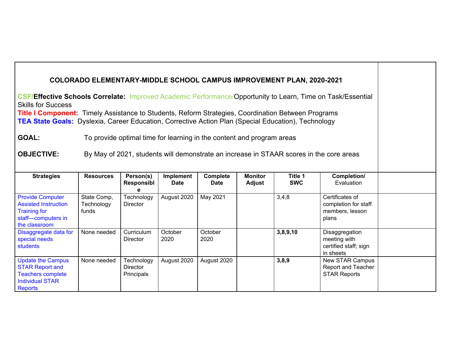### **COLORADO ELEMENTARY-MIDDLE SCHOOL CAMPUS IMPROVEMENT PLAN, 2020-2021**

**CSF/Effective Schools Correlate:** Improved Academic Performance/Opportunity to Learn, Time on Task/Essential Skills for Success

**Title I Component:** Timely Assistance to Students, Reform Strategies, Coordination Between Programs **TEA State Goals:** Dyslexia, Career Education, Corrective Action Plan (Special Education), Technology

**GOAL:** To provide optimal time for learning in the content and program areas

**OBJECTIVE:** By May of 2021, students will demonstrate an increase in STAAR scores in the core areas

| <b>Strategies</b>                                                                                                          | <b>Resources</b>                   | Person(s)<br>Responsibl<br>е         | Implement<br><b>Date</b> | Complete<br>Date | <b>Monitor</b><br>Adjust | <b>Title 1</b><br><b>SWC</b> | Completion/<br>Evaluation                                            |  |
|----------------------------------------------------------------------------------------------------------------------------|------------------------------------|--------------------------------------|--------------------------|------------------|--------------------------|------------------------------|----------------------------------------------------------------------|--|
| <b>Provide Computer</b><br><b>Assisted Instruction</b><br><b>Training for</b><br>staff-computers in<br>the classroom       | State Comp,<br>Technology<br>funds | Technology<br>Director               | August 2020              | May 2021         |                          | 3,4,8                        | Certificates of<br>completion for staff<br>members, lesson<br>plans  |  |
| Disaggregate data for<br>special needs<br>students                                                                         | None needed                        | Curriculum<br>Director               | October<br>2020          | October<br>2020  |                          | 3,8,9,10                     | Disaggregation<br>meeting with<br>certified staff; sign<br>in sheets |  |
| <b>Update the Campus</b><br><b>STAR Report and</b><br><b>Teachers complete</b><br><b>Individual STAR</b><br><b>Reports</b> | None needed                        | Technology<br>Director<br>Principals | August 2020              | August 2020      |                          | 3,8,9                        | New STAR Campus<br>Report and Teacher<br><b>STAR Reports</b>         |  |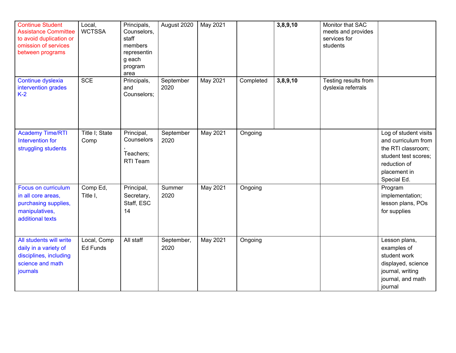| <b>Continue Student</b><br><b>Assistance Committee</b><br>to avoid duplication or<br>omission of services<br>between programs | Local,<br><b>WCTSSA</b> | Principals,<br>Counselors,<br>staff<br>members<br>representin<br>g each<br>program<br>area | August 2020        | May 2021 |           | 3,8,9,10 | Monitor that SAC<br>meets and provides<br>services for<br>students |                                                                                                                                           |
|-------------------------------------------------------------------------------------------------------------------------------|-------------------------|--------------------------------------------------------------------------------------------|--------------------|----------|-----------|----------|--------------------------------------------------------------------|-------------------------------------------------------------------------------------------------------------------------------------------|
| Continue dyslexia<br>intervention grades<br>$K-2$                                                                             | <b>SCE</b>              | Principals,<br>and<br>Counselors;                                                          | September<br>2020  | May 2021 | Completed | 3,8,9,10 | Testing results from<br>dyslexia referrals                         |                                                                                                                                           |
| <b>Academy Time/RTI</b><br>Intervention for<br>struggling students                                                            | Title I; State<br>Comp  | Principal,<br>Counselors<br>Teachers;<br>RTI Team                                          | September<br>2020  | May 2021 | Ongoing   |          |                                                                    | Log of student visits<br>and curriculum from<br>the RTI classroom;<br>student test scores;<br>reduction of<br>placement in<br>Special Ed. |
| Focus on curriculum<br>in all core areas,<br>purchasing supplies,<br>manipulatives,<br>additional texts                       | Comp Ed,<br>Title I,    | Principal,<br>Secretary,<br>Staff, ESC<br>14                                               | Summer<br>2020     | May 2021 | Ongoing   |          |                                                                    | Program<br>implementation;<br>lesson plans, POs<br>for supplies                                                                           |
| All students will write<br>daily in a variety of<br>disciplines, including<br>science and math<br>journals                    | Local, Comp<br>Ed Funds | All staff                                                                                  | September,<br>2020 | May 2021 | Ongoing   |          |                                                                    | Lesson plans,<br>examples of<br>student work<br>displayed, science<br>journal, writing<br>journal, and math<br>journal                    |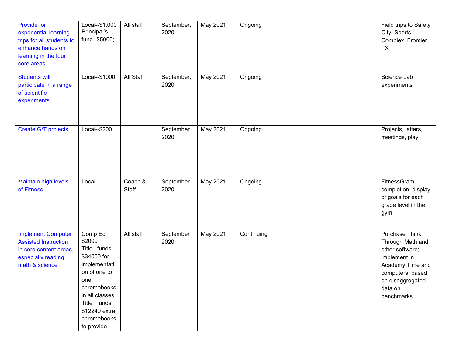| Provide for<br>experiential learning<br>trips for all students to<br>enhance hands on<br>learning in the four<br>core areas | Local--\$1,000<br>Principal's<br>fund--\$5000;                                                                                                                                           | All staff        | September,<br>2020 | May 2021 | Ongoing    | Field trips to Safety<br>City, Sports<br>Complex, Frontier<br><b>TX</b>                                                                                    |
|-----------------------------------------------------------------------------------------------------------------------------|------------------------------------------------------------------------------------------------------------------------------------------------------------------------------------------|------------------|--------------------|----------|------------|------------------------------------------------------------------------------------------------------------------------------------------------------------|
| <b>Students will</b><br>participate in a range<br>of scientific<br>experiments                                              | Local--\$1000;                                                                                                                                                                           | All Staff        | September,<br>2020 | May 2021 | Ongoing    | Science Lab<br>experiments                                                                                                                                 |
| Create G/T projects                                                                                                         | Local--\$200                                                                                                                                                                             |                  | September<br>2020  | May 2021 | Ongoing    | Projects, letters,<br>meetings, play                                                                                                                       |
| Maintain high levels<br>of Fitness                                                                                          | Local                                                                                                                                                                                    | Coach &<br>Staff | September<br>2020  | May 2021 | Ongoing    | FitnessGram<br>completion, display<br>of goals for each<br>grade level in the<br>gym                                                                       |
| <b>Implement Computer</b><br><b>Assisted Instruction</b><br>in core content areas,<br>especially reading,<br>math & science | Comp Ed<br>\$2000<br>Title I funds<br>\$34000 for<br>implementati<br>on of one to<br>one<br>chromebooks<br>in all classes<br>Title I funds<br>\$12240 extra<br>chromebooks<br>to provide | All staff        | September<br>2020  | May 2021 | Continuing | Purchase Think<br>Through Math and<br>other software;<br>implement in<br>Academy Time and<br>computers, based<br>on disaggregated<br>data on<br>benchmarks |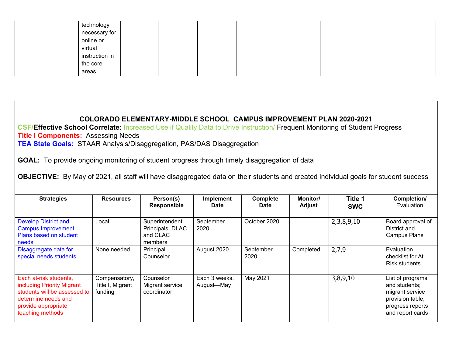| technology     |  |  |  |
|----------------|--|--|--|
| necessary for  |  |  |  |
| online or      |  |  |  |
| virtual        |  |  |  |
| instruction in |  |  |  |
| the core       |  |  |  |
| areas.         |  |  |  |

### **COLORADO ELEMENTARY-MIDDLE SCHOOL CAMPUS IMPROVEMENT PLAN 2020-2021**

**CSF/Effective School Correlate:** Increased Use if Quality Data to Drive Instruction/ Frequent Monitoring of Student Progress **Title I Components: Assessing Needs** 

**TEA State Goals:** STAAR Analysis/Disaggregation, PAS/DAS Disaggregation

**GOAL:** To provide ongoing monitoring of student progress through timely disaggregation of data

**OBJECTIVE:** By May of 2021, all staff will have disaggregated data on their students and created individual goals for student success

| <b>Strategies</b>                                                                                                                                      | <b>Resources</b>                             | Person(s)<br><b>Responsible</b>                           | <b>Implement</b><br><b>Date</b> | <b>Complete</b><br><b>Date</b> | Monitor/<br>Adjust | Title 1<br><b>SWC</b> | Completion/<br>Evaluation                                                                                        |
|--------------------------------------------------------------------------------------------------------------------------------------------------------|----------------------------------------------|-----------------------------------------------------------|---------------------------------|--------------------------------|--------------------|-----------------------|------------------------------------------------------------------------------------------------------------------|
| <b>Develop District and</b><br><b>Campus Improvement</b><br>Plans based on student<br>needs                                                            | Local                                        | Superintendent<br>Principals, DLAC<br>and CLAC<br>members | September<br>2020               | October 2020                   |                    | 2,3,8,9,10            | Board approval of<br>District and<br><b>Campus Plans</b>                                                         |
| Disaggregate data for<br>special needs students                                                                                                        | None needed                                  | Principal<br>Counselor                                    | August 2020                     | September<br>2020              | Completed          | 2,7,9                 | Evaluation<br>checklist for At<br>Risk students                                                                  |
| Each at-risk students,<br>including Priority Migrant<br>students will be assessed to<br>determine needs and<br>provide appropriate<br>teaching methods | Compensatory,<br>Title I, Migrant<br>funding | Counselor<br>Migrant service<br>coordinator               | Each 3 weeks,<br>August-May     | May 2021                       |                    | 3,8,9,10              | List of programs<br>and students;<br>migrant service<br>provision table,<br>progress reports<br>and report cards |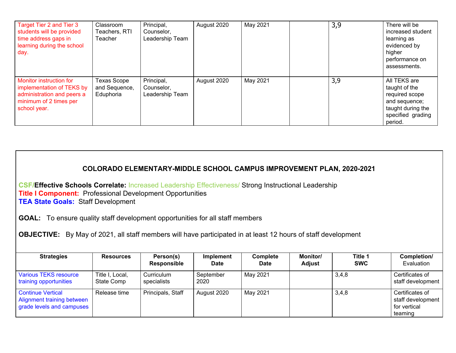| Target Tier 2 and Tier 3<br>students will be provided<br>time address gaps in<br>learning during the school<br>day.                 | Classroom<br>Teachers, RTI<br>Teacher            | Principal,<br>Counselor.<br>Leadership Team | August 2020 | May 2021 | 3,9 | There will be<br>increased student<br>learning as<br>evidenced by<br>higher<br>performance on<br>assessments.         |
|-------------------------------------------------------------------------------------------------------------------------------------|--------------------------------------------------|---------------------------------------------|-------------|----------|-----|-----------------------------------------------------------------------------------------------------------------------|
| <b>Monitor instruction for</b><br>implementation of TEKS by<br>administration and peers a<br>minimum of 2 times per<br>school year. | <b>Texas Scope</b><br>and Sequence,<br>Eduphoria | Principal,<br>Counselor,<br>Leadership Team | August 2020 | May 2021 | 3,9 | All TEKS are<br>taught of the<br>required scope<br>and sequence;<br>taught during the<br>specified grading<br>period. |

| <b>COLORADO ELEMENTARY-MIDDLE SCHOOL CAMPUS IMPROVEMENT PLAN, 2020-2021</b>                                                                                                                                                  |                                                                                      |                                 |                                 |                                |                           |                       |                                                                 |
|------------------------------------------------------------------------------------------------------------------------------------------------------------------------------------------------------------------------------|--------------------------------------------------------------------------------------|---------------------------------|---------------------------------|--------------------------------|---------------------------|-----------------------|-----------------------------------------------------------------|
| <b>CSF/Effective Schools Correlate: Increased Leadership Effectiveness/ Strong Instructional Leadership</b><br><b>Title I Component: Professional Development Opportunities</b><br><b>TEA State Goals: Staff Development</b> |                                                                                      |                                 |                                 |                                |                           |                       |                                                                 |
|                                                                                                                                                                                                                              | <b>GOAL:</b> To ensure quality staff development opportunities for all staff members |                                 |                                 |                                |                           |                       |                                                                 |
| <b>OBJECTIVE:</b> By May of 2021, all staff members will have participated in at least 12 hours of staff development                                                                                                         |                                                                                      |                                 |                                 |                                |                           |                       |                                                                 |
| <b>Strategies</b>                                                                                                                                                                                                            | <b>Resources</b>                                                                     | Person(s)<br><b>Responsible</b> | <b>Implement</b><br><b>Date</b> | <b>Complete</b><br><b>Date</b> | Monitor/<br><b>Adjust</b> | Title 1<br><b>SWC</b> | Completion/<br>Evaluation                                       |
| <b>Various TEKS resource</b><br>training opportunities                                                                                                                                                                       | Title I, Local,<br>State Comp                                                        | Curriculum<br>specialists       | September<br>2020               | May 2021                       |                           | 3,4,8                 | Certificates of<br>staff development                            |
| <b>Continue Vertical</b><br>Alignment training between<br>grade levels and campuses                                                                                                                                          | Release time                                                                         | Principals, Staff               | August 2020                     | May 2021                       |                           | 3,4,8                 | Certificates of<br>staff development<br>for vertical<br>teaming |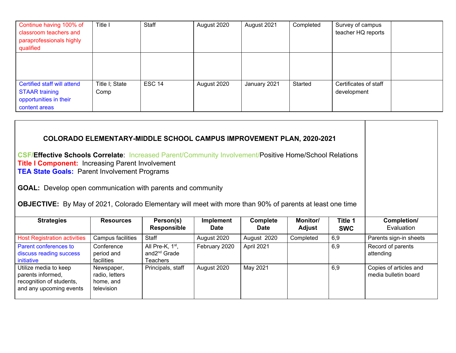| Continue having 100% of<br>classroom teachers and<br>paraprofessionals highly<br>qualified      | Title I                | Staff         | August 2020 | August 2021  | Completed | Survey of campus<br>teacher HQ reports |  |
|-------------------------------------------------------------------------------------------------|------------------------|---------------|-------------|--------------|-----------|----------------------------------------|--|
|                                                                                                 |                        |               |             |              |           |                                        |  |
| Certified staff will attend<br><b>STAAR training</b><br>opportunities in their<br>content areas | Title I; State<br>Comp | <b>ESC 14</b> | August 2020 | January 2021 | Started   | Certificates of staff<br>development   |  |

| <b>COLORADO ELEMENTARY-MIDDLE SCHOOL CAMPUS IMPROVEMENT PLAN, 2020-2021</b><br><b>CSF/Effective Schools Correlate: Increased Parent/Community Involvement/Positive Home/School Relations</b><br><b>Title I Component:</b> Increasing Parent Involvement<br><b>TEA State Goals: Parent Involvement Programs</b><br><b>GOAL:</b> Develop open communication with parents and community<br><b>OBJECTIVE:</b> By May of 2021, Colorado Elementary will meet with more than 90% of parents at least one time |                                                         |                                                                             |                                 |                         |                    |                              |                                                |
|---------------------------------------------------------------------------------------------------------------------------------------------------------------------------------------------------------------------------------------------------------------------------------------------------------------------------------------------------------------------------------------------------------------------------------------------------------------------------------------------------------|---------------------------------------------------------|-----------------------------------------------------------------------------|---------------------------------|-------------------------|--------------------|------------------------------|------------------------------------------------|
| <b>Strategies</b>                                                                                                                                                                                                                                                                                                                                                                                                                                                                                       | <b>Resources</b>                                        | Person(s)<br><b>Responsible</b>                                             | <b>Implement</b><br><b>Date</b> | Complete<br><b>Date</b> | Monitor/<br>Adjust | <b>Title 1</b><br><b>SWC</b> | Completion/<br>Evaluation                      |
| <b>Host Registration activities</b>                                                                                                                                                                                                                                                                                                                                                                                                                                                                     | Campus facilities                                       | Staff                                                                       | August 2020                     | August 2020             | Completed          | 6,9                          | Parents sign-in sheets                         |
| Parent conferences to<br>discuss reading success<br>initiative                                                                                                                                                                                                                                                                                                                                                                                                                                          | Conference<br>period and<br><b>facilities</b>           | All Pre-K, 1 <sup>st</sup> ,<br>and2 <sup>nd</sup> Grade<br><b>Teachers</b> | February 2020                   | April 2021              |                    | 6,9                          | Record of parents<br>attending                 |
| Utilize media to keep<br>parents informed,<br>recognition of students,<br>and any upcoming events                                                                                                                                                                                                                                                                                                                                                                                                       | Newspaper,<br>radio, letters<br>home, and<br>television | Principals, staff                                                           | August 2020                     | May 2021                |                    | 6,9                          | Copies of articles and<br>media bulletin board |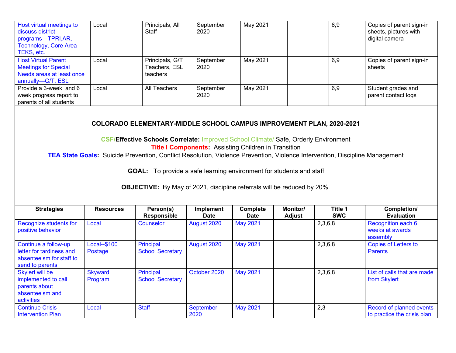| Host virtual meetings to<br>discuss district<br>programs-TPRI, AR,<br><b>Technology, Core Area</b><br>TEKS, etc. | Local                                                                                                                                                                                                                                                                                                                                                           | Principals, All<br>Staff                                                       | September<br>2020        | May 2021                |                    | 6,9                   | Copies of parent sign-in<br>sheets, pictures with<br>digital camera |
|------------------------------------------------------------------------------------------------------------------|-----------------------------------------------------------------------------------------------------------------------------------------------------------------------------------------------------------------------------------------------------------------------------------------------------------------------------------------------------------------|--------------------------------------------------------------------------------|--------------------------|-------------------------|--------------------|-----------------------|---------------------------------------------------------------------|
| <b>Host Virtual Parent</b><br><b>Meetings for Special</b><br>Needs areas at least once<br>annually-G/T, ESL      | Local                                                                                                                                                                                                                                                                                                                                                           | Principals, G/T<br>Teachers, ESL<br>teachers                                   | September<br>2020        | May 2021                |                    | 6,9                   | Copies of parent sign-in<br>sheets                                  |
| Provide a 3-week and 6<br>week progress report to<br>parents of all students                                     | Local                                                                                                                                                                                                                                                                                                                                                           | All Teachers                                                                   | September<br>2020        | May 2021                |                    | 6,9                   | Student grades and<br>parent contact logs                           |
| <b>COLORADO ELEMENTARY-MIDDLE SCHOOL CAMPUS IMPROVEMENT PLAN, 2020-2021</b>                                      |                                                                                                                                                                                                                                                                                                                                                                 |                                                                                |                          |                         |                    |                       |                                                                     |
|                                                                                                                  | <b>CSF/Effective Schools Correlate: Improved School Climate/ Safe, Orderly Environment</b><br>Title I Components: Assisting Children in Transition<br>TEA State Goals: Suicide Prevention, Conflict Resolution, Violence Prevention, Violence Intervention, Discipline Management<br><b>GOAL:</b> To provide a safe learning environment for students and staff |                                                                                |                          |                         |                    |                       |                                                                     |
|                                                                                                                  |                                                                                                                                                                                                                                                                                                                                                                 | <b>OBJECTIVE:</b> By May of 2021, discipline referrals will be reduced by 20%. |                          |                         |                    |                       |                                                                     |
| <b>Strategies</b>                                                                                                | <b>Resources</b>                                                                                                                                                                                                                                                                                                                                                | Person(s)<br>Responsible                                                       | Implement<br><b>Date</b> | Complete<br><b>Date</b> | Monitor/<br>Adjust | Title 1<br><b>SWC</b> | Completion/<br><b>Evaluation</b>                                    |
| Recognize students for<br>positive behavior                                                                      | Local                                                                                                                                                                                                                                                                                                                                                           | Counselor                                                                      | August 2020              | <b>May 2021</b>         |                    | 2,3,6,8               | Recognition each 6<br>weeks at awards<br>assembly                   |
| Continue a follow-up<br>letter for tardiness and<br>absenteeism for staff to<br>send to parents                  | <b>Local--\$100</b><br>Postage                                                                                                                                                                                                                                                                                                                                  | Principal<br><b>School Secretary</b>                                           | August 2020              | <b>May 2021</b>         |                    | 2,3,6,8               | <b>Copies of Letters to</b><br><b>Parents</b>                       |
| Skylert will be<br>implemented to call<br>parents about<br>absenteeism and<br>activities                         | <b>Skyward</b><br>Program                                                                                                                                                                                                                                                                                                                                       | Principal<br><b>School Secretary</b>                                           | October 2020             | <b>May 2021</b>         |                    | 2,3,6,8               | List of calls that are made<br>from Skylert                         |
| <b>Continue Crisis</b><br><b>Intervention Plan</b>                                                               | Local                                                                                                                                                                                                                                                                                                                                                           | <b>Staff</b>                                                                   | September<br>2020        | <b>May 2021</b>         |                    | 2,3                   | Record of planned events<br>to practice the crisis plan             |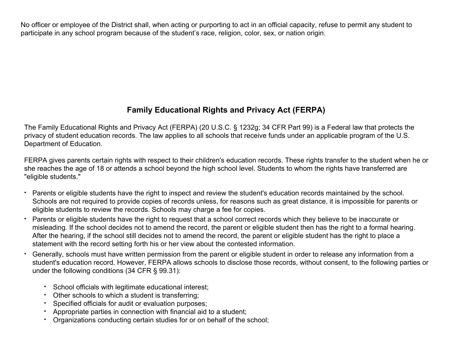No officer or employee of the District shall, when acting or purporting to act in an official capacity, refuse to permit any student to participate in any school program because of the student's race, religion, color, sex, or nation origin.

### **Family Educational Rights and Privacy Act (FERPA)**

The Family Educational Rights and Privacy Act (FERPA) (20 U.S.C. § 1232g; 34 CFR Part 99) is a Federal law that protects the privacy of student education records. The law applies to all schools that receive funds under an applicable program of the U.S. Department of Education.

FERPA gives parents certain rights with respect to their children's education records. These rights transfer to the student when he or she reaches the age of 18 or attends a school beyond the high school level. Students to whom the rights have transferred are "eligible students."

- Parents or eligible students have the right to inspect and review the student's education records maintained by the school. Schools are not required to provide copies of records unless, for reasons such as great distance, it is impossible for parents or eligible students to review the records. Schools may charge a fee for copies.
- Parents or eligible students have the right to request that a school correct records which they believe to be inaccurate or misleading. If the school decides not to amend the record, the parent or eligible student then has the right to a formal hearing. After the hearing, if the school still decides not to amend the record, the parent or eligible student has the right to place a statement with the record setting forth his or her view about the contested information.
- Generally, schools must have written permission from the parent or eligible student in order to release any information from a student's education record. However, FERPA allows schools to disclose those records, without consent, to the following parties or under the following conditions (34 CFR § 99.31):
	- School officials with legitimate educational interest;
	- Other schools to which a student is transferring;
	- Specified officials for audit or evaluation purposes;
	- Appropriate parties in connection with financial aid to a student;
	- Organizations conducting certain studies for or on behalf of the school;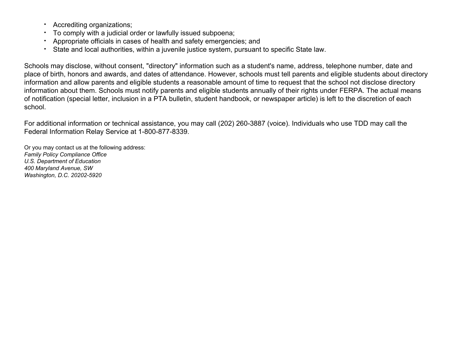- Accrediting organizations;
- To comply with a judicial order or lawfully issued subpoena;
- Appropriate officials in cases of health and safety emergencies; and
- State and local authorities, within a juvenile justice system, pursuant to specific State law.

Schools may disclose, without consent, "directory" information such as a student's name, address, telephone number, date and place of birth, honors and awards, and dates of attendance. However, schools must tell parents and eligible students about directory information and allow parents and eligible students a reasonable amount of time to request that the school not disclose directory information about them. Schools must notify parents and eligible students annually of their rights under FERPA. The actual means of notification (special letter, inclusion in a PTA bulletin, student handbook, or newspaper article) is left to the discretion of each school.

For additional information or technical assistance, you may call (202) 260-3887 (voice). Individuals who use TDD may call the Federal Information Relay Service at 1-800-877-8339.

Or you may contact us at the following address: *Family Policy Compliance Office U.S. Department of Education 400 Maryland Avenue, SW Washington, D.C. 20202-5920*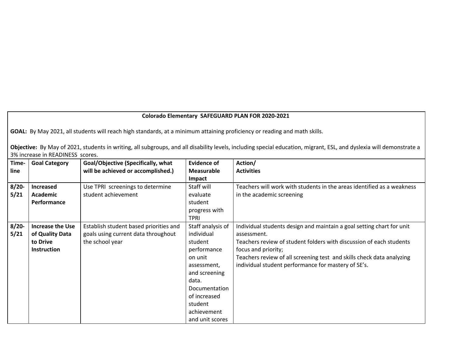#### **Colorado Elementary SAFEGUARD PLAN FOR 2020-2021**

**GOAL:** By May 2021, all students will reach high standards, at a minimum attaining proficiency or reading and math skills.

**Objective:** By May of 2021, students in writing, all subgroups, and all disability levels, including special education, migrant, ESL, and dyslexia will demonstrate a 3% increase in READINESS scores.

| Time-    | <b>Goal Category</b> | Goal/Objective (Specifically, what     | Evidence of       | Action/                                                                |
|----------|----------------------|----------------------------------------|-------------------|------------------------------------------------------------------------|
| line     |                      | will be achieved or accomplished.)     | <b>Measurable</b> | <b>Activities</b>                                                      |
|          |                      |                                        | Impact            |                                                                        |
| $8/20 -$ | <b>Increased</b>     | Use TPRI screenings to determine       | Staff will        | Teachers will work with students in the areas identified as a weakness |
| 5/21     | Academic             | student achievement                    | evaluate          | in the academic screening                                              |
|          | Performance          |                                        | student           |                                                                        |
|          |                      |                                        | progress with     |                                                                        |
|          |                      |                                        | <b>TPRI</b>       |                                                                        |
| $8/20 -$ | Increase the Use     | Establish student based priorities and | Staff analysis of | Individual students design and maintain a goal setting chart for unit  |
| 5/21     | of Quality Data      | goals using current data throughout    | individual        | assessment.                                                            |
|          | to Drive             | the school year                        | student           | Teachers review of student folders with discussion of each students    |
|          | <b>Instruction</b>   |                                        | performance       | focus and priority;                                                    |
|          |                      |                                        | on unit           | Teachers review of all screening test and skills check data analyzing  |
|          |                      |                                        | assessment,       | individual student performance for mastery of SE's.                    |
|          |                      |                                        | and screening     |                                                                        |
|          |                      |                                        | data.             |                                                                        |
|          |                      |                                        | Documentation     |                                                                        |
|          |                      |                                        | of increased      |                                                                        |
|          |                      |                                        | student           |                                                                        |
|          |                      |                                        | achievement       |                                                                        |
|          |                      |                                        | and unit scores   |                                                                        |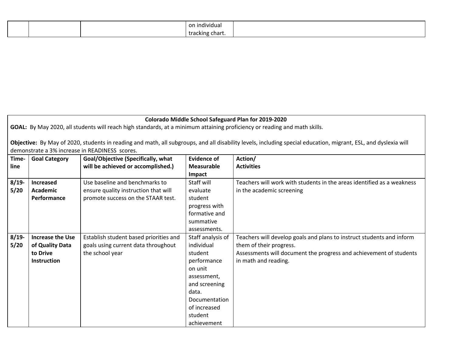|  | .<br>on individual |  |
|--|--------------------|--|
|  | tracking chart     |  |

#### **Colorado Middle School Safeguard Plan for 2019-2020**

**GOAL:** By May 2020, all students will reach high standards, at a minimum attaining proficiency or reading and math skills.

**Objective:** By May of 2020, students in reading and math, all subgroups, and all disability levels, including special education, migrant, ESL, and dyslexia will demonstrate a 3% increase in READINESS scores.

| Time-   | <b>Goal Category</b>    | Goal/Objective (Specifically, what     | <b>Evidence of</b> | Action/                                                                |
|---------|-------------------------|----------------------------------------|--------------------|------------------------------------------------------------------------|
| line    |                         | will be achieved or accomplished.)     | <b>Measurable</b>  | <b>Activities</b>                                                      |
|         |                         |                                        | <b>Impact</b>      |                                                                        |
| $8/19-$ | Increased               | Use baseline and benchmarks to         | Staff will         | Teachers will work with students in the areas identified as a weakness |
| 5/20    | Academic                | ensure quality instruction that will   | evaluate           | in the academic screening                                              |
|         | Performance             | promote success on the STAAR test.     | student            |                                                                        |
|         |                         |                                        | progress with      |                                                                        |
|         |                         |                                        | formative and      |                                                                        |
|         |                         |                                        | summative          |                                                                        |
|         |                         |                                        | assessments.       |                                                                        |
| $8/19-$ | <b>Increase the Use</b> | Establish student based priorities and | Staff analysis of  | Teachers will develop goals and plans to instruct students and inform  |
| 5/20    | of Quality Data         | goals using current data throughout    | individual         | them of their progress.                                                |
|         | to Drive                | the school year                        | student            | Assessments will document the progress and achievement of students     |
|         | <b>Instruction</b>      |                                        | performance        | in math and reading.                                                   |
|         |                         |                                        | on unit            |                                                                        |
|         |                         |                                        | assessment,        |                                                                        |
|         |                         |                                        | and screening      |                                                                        |
|         |                         |                                        | data.              |                                                                        |
|         |                         |                                        | Documentation      |                                                                        |
|         |                         |                                        | of increased       |                                                                        |
|         |                         |                                        | student            |                                                                        |
|         |                         |                                        | achievement        |                                                                        |